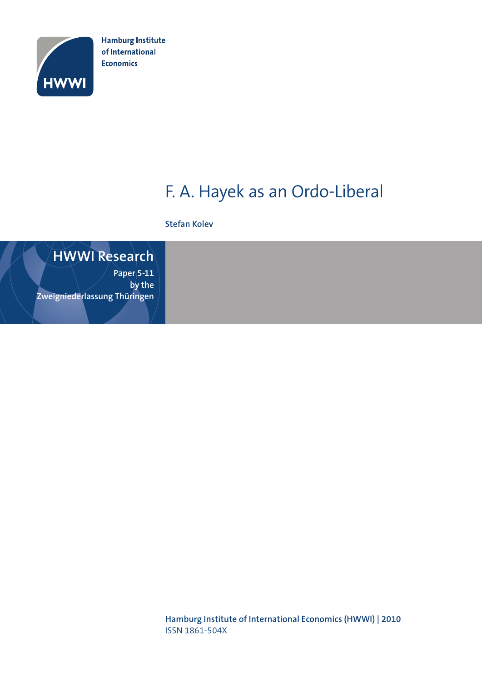

**Hamburg Institute** of International **Economics** 

# F. A. Hayek as an Ordo-Liberal

**Stefan Kolev**

# **Paper 5-11 by the HWWI Research**

**Zweigniederlassung Thüringen**

**Hamburg Institute of International Economics (HWWI) | 2010** ISSN 1861-504X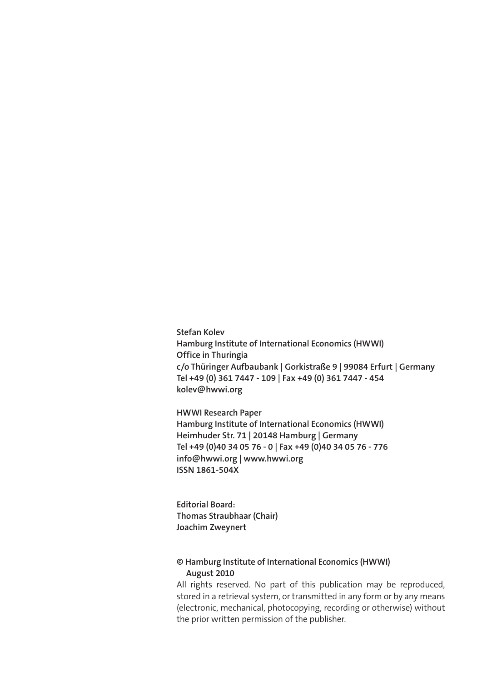**Stefan Kolev Hamburg Institute of International Economics (HWWI) Office in Thuringia c/o Thüringer Aufbaubank | Gorkistraße 9 | 99084 Erfurt | Germany Tel +49 (0) 361 7447 - 109 | Fax +49 (0) 361 7447 - 454 kolev@hwwi.org**

**HWWI Research Paper Hamburg Institute of International Economics (HWWI) Heimhuder Str. 71 | 20148 Hamburg | Germany Tel +49 (0)40 34 05 76 - 0 | Fax +49 (0)40 34 05 76 - 776 info@hwwi.org | www.hwwi.org ISSN 1861-504X**

**Editorial Board: Thomas Straubhaar (Chair) Joachim Zweynert**

# **© Hamburg Institute of International Economics (HWWI) August 2010**

All rights reserved. No part of this publication may be reproduced, stored in a retrieval system, or transmitted in any form or by any means (electronic, mechanical, photocopying, recording or otherwise) without the prior written permission of the publisher.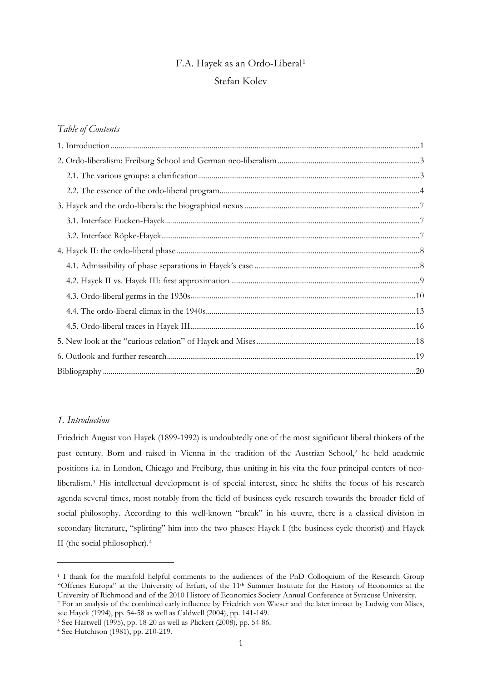# F.A. Hayek as an Ordo-Liberal[1](#page-2-1) Stefan Kolev

# *Table of Contents*

# <span id="page-2-0"></span>*1. Introduction*

 $\overline{a}$ 

Friedrich August von Hayek (1899-1992) is undoubtedly one of the most significant liberal thinkers of the past century. Born and raised in Vienna in the tradition of the Austrian School,[2](#page-2-2) he held academic positions i.a. in London, Chicago and Freiburg, thus uniting in his vita the four principal centers of neoliberalism.[3](#page-2-3) His intellectual development is of special interest, since he shifts the focus of his research agenda several times, most notably from the field of business cycle research towards the broader field of social philosophy. According to this well-known "break" in his œuvre, there is a classical division in secondary literature, "splitting" him into the two phases: Hayek I (the business cycle theorist) and Hayek II (the social philosopher).[4](#page-2-4)

<span id="page-2-1"></span><sup>1</sup> I thank for the manifold helpful comments to the audiences of the PhD Colloquium of the Research Group "Offenes Europa" at the University of Erfurt, of the 11th Summer Institute for the History of Economics at the University of Richmond and of the 2010 History of Economics Society Annual Conference at Syracuse University.

<span id="page-2-2"></span><sup>2</sup> For an analysis of the combined early influence by Friedrich von Wieser and the later impact by Ludwig von Mises, see Hayek (1994), pp. 54-58 as well as Caldwell (2004), pp. 141-149.

<span id="page-2-3"></span><sup>3</sup> See Hartwell (1995), pp. 18-20 as well as Plickert (2008), pp. 54-86.

<span id="page-2-4"></span><sup>4</sup> See Hutchison (1981), pp. 210-219.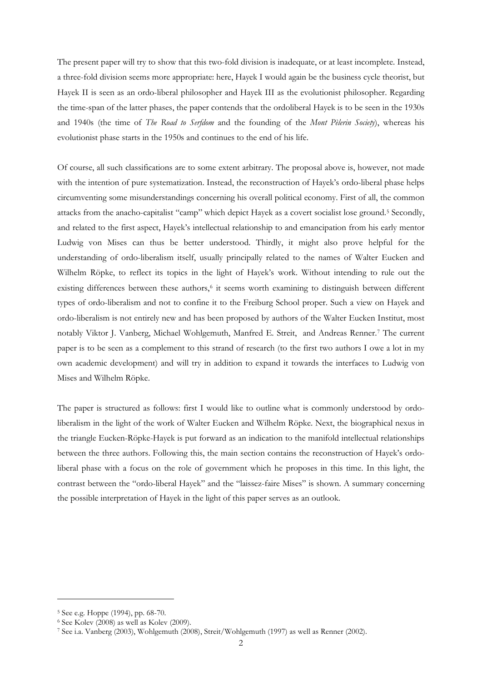The present paper will try to show that this two-fold division is inadequate, or at least incomplete. Instead, a three-fold division seems more appropriate: here, Hayek I would again be the business cycle theorist, but Hayek II is seen as an ordo-liberal philosopher and Hayek III as the evolutionist philosopher. Regarding the time-span of the latter phases, the paper contends that the ordoliberal Hayek is to be seen in the 1930s and 1940s (the time of *The Road to Serfdom* and the founding of the *Mont Pèlerin Society*), whereas his evolutionist phase starts in the 1950s and continues to the end of his life.

Of course, all such classifications are to some extent arbitrary. The proposal above is, however, not made with the intention of pure systematization. Instead, the reconstruction of Hayek's ordo-liberal phase helps circumventing some misunderstandings concerning his overall political economy. First of all, the common attacks from the anacho-capitalist "camp" which depict Hayek as a covert socialist lose ground.[5](#page-3-0) Secondly, and related to the first aspect, Hayek's intellectual relationship to and emancipation from his early mentor Ludwig von Mises can thus be better understood. Thirdly, it might also prove helpful for the understanding of ordo-liberalism itself, usually principally related to the names of Walter Eucken and Wilhelm Röpke, to reflect its topics in the light of Hayek's work. Without intending to rule out the existing differences between these authors,<sup>6</sup> it seems worth examining to distinguish between different types of ordo-liberalism and not to confine it to the Freiburg School proper. Such a view on Hayek and ordo-liberalism is not entirely new and has been proposed by authors of the Walter Eucken Institut, most notably Viktor J. Vanberg, Michael Wohlgemuth, Manfred E. Streit, and Andreas Renner.[7](#page-3-2) The current paper is to be seen as a complement to this strand of research (to the first two authors I owe a lot in my own academic development) and will try in addition to expand it towards the interfaces to Ludwig von Mises and Wilhelm Röpke.

The paper is structured as follows: first I would like to outline what is commonly understood by ordoliberalism in the light of the work of Walter Eucken and Wilhelm Röpke. Next, the biographical nexus in the triangle Eucken-Röpke-Hayek is put forward as an indication to the manifold intellectual relationships between the three authors. Following this, the main section contains the reconstruction of Hayek's ordoliberal phase with a focus on the role of government which he proposes in this time. In this light, the contrast between the "ordo-liberal Hayek" and the "laissez-faire Mises" is shown. A summary concerning the possible interpretation of Hayek in the light of this paper serves as an outlook.

<span id="page-3-0"></span><sup>5</sup> See e.g. Hoppe (1994), pp. 68-70.

<span id="page-3-1"></span><sup>6</sup> See Kolev (2008) as well as Kolev (2009).

<span id="page-3-2"></span><sup>7</sup> See i.a. Vanberg (2003), Wohlgemuth (2008), Streit/Wohlgemuth (1997) as well as Renner (2002).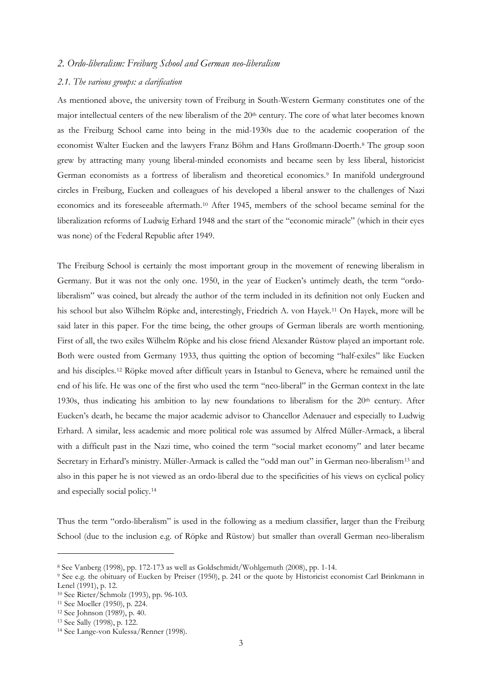## <span id="page-4-0"></span>*2. Ordo-liberalism: Freiburg School and German neo-liberalism*

#### <span id="page-4-1"></span>*2.1. The various groups: a clarification*

As mentioned above, the university town of Freiburg in South-Western Germany constitutes one of the major intellectual centers of the new liberalism of the 20<sup>th</sup> century. The core of what later becomes known as the Freiburg School came into being in the mid-1930s due to the academic cooperation of the economist Walter Eucken and the lawyers Franz Böhm and Hans Großmann-Doerth.[8](#page-4-2) The group soon grew by attracting many young liberal-minded economists and became seen by less liberal, historicist German economists as a fortress of liberalism and theoretical economics.[9](#page-4-3) In manifold underground circles in Freiburg, Eucken and colleagues of his developed a liberal answer to the challenges of Nazi economics and its foreseeable aftermath.[10](#page-4-4) After 1945, members of the school became seminal for the liberalization reforms of Ludwig Erhard 1948 and the start of the "economic miracle" (which in their eyes was none) of the Federal Republic after 1949.

The Freiburg School is certainly the most important group in the movement of renewing liberalism in Germany. But it was not the only one. 1950, in the year of Eucken's untimely death, the term "ordoliberalism" was coined, but already the author of the term included in its definition not only Eucken and his school but also Wilhelm Röpke and, interestingly, Friedrich A. von Hayek.[11](#page-4-5) On Hayek, more will be said later in this paper. For the time being, the other groups of German liberals are worth mentioning. First of all, the two exiles Wilhelm Röpke and his close friend Alexander Rüstow played an important role. Both were ousted from Germany 1933, thus quitting the option of becoming "half-exiles" like Eucken and his disciples.[12](#page-4-6) Röpke moved after difficult years in Istanbul to Geneva, where he remained until the end of his life. He was one of the first who used the term "neo-liberal" in the German context in the late 1930s, thus indicating his ambition to lay new foundations to liberalism for the  $20<sup>th</sup>$  century. After Eucken's death, he became the major academic advisor to Chancellor Adenauer and especially to Ludwig Erhard. A similar, less academic and more political role was assumed by Alfred Müller-Armack, a liberal with a difficult past in the Nazi time, who coined the term "social market economy" and later became Secretary in Erhard's ministry. Müller-Armack is called the "odd man out" in German neo-liberalism<sup>[13](#page-4-7)</sup> and also in this paper he is not viewed as an ordo-liberal due to the specificities of his views on cyclical policy and especially social policy.[14](#page-4-8)

Thus the term "ordo-liberalism" is used in the following as a medium classifier, larger than the Freiburg School (due to the inclusion e.g. of Röpke and Rüstow) but smaller than overall German neo-liberalism

<sup>8</sup> See Vanberg (1998), pp. 172-173 as well as Goldschmidt/Wohlgemuth (2008), pp. 1-14.

<span id="page-4-3"></span><span id="page-4-2"></span><sup>&</sup>lt;sup>9</sup> See e.g. the obituary of Eucken by Preiser (1950), p. 241 or the quote by Historicist economist Carl Brinkmann in Lenel (1991), p. 12.

<span id="page-4-4"></span><sup>10</sup> See Rieter/Schmolz (1993), pp. 96-103.

<span id="page-4-5"></span><sup>11</sup> See Moeller (1950), p. 224.

<sup>12</sup> See Johnson (1989), p. 40.

<span id="page-4-7"></span><span id="page-4-6"></span><sup>13</sup> See Sally (1998), p. 122.

<span id="page-4-8"></span><sup>14</sup> See Lange-von Kulessa/Renner (1998).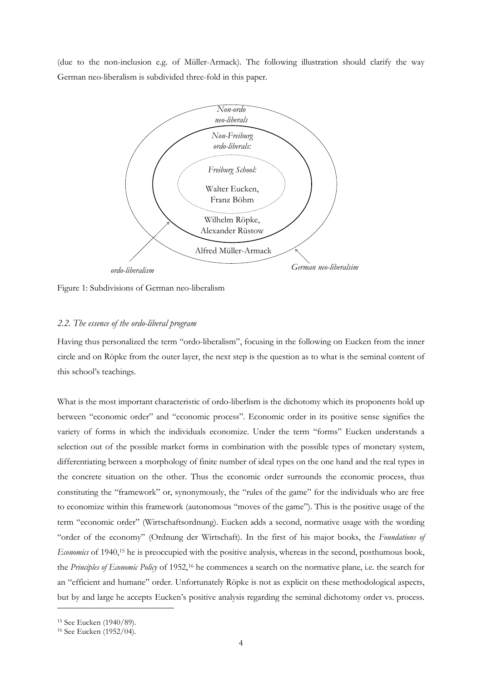(due to the non-inclusion e.g. of Müller-Armack). The following illustration should clarify the way German neo-liberalism is subdivided three-fold in this paper.



Figure 1: Subdivisions of German neo-liberalism

# <span id="page-5-0"></span>*2.2. The essence of the ordo-liberal program*

Having thus personalized the term "ordo-liberalism", focusing in the following on Eucken from the inner circle and on Röpke from the outer layer, the next step is the question as to what is the seminal content of this school's teachings.

What is the most important characteristic of ordo-liberlism is the dichotomy which its proponents hold up between "economic order" and "economic process". Economic order in its positive sense signifies the variety of forms in which the individuals economize. Under the term "forms" Eucken understands a selection out of the possible market forms in combination with the possible types of monetary system, differentiating between a morphology of finite number of ideal types on the one hand and the real types in the concrete situation on the other. Thus the economic order surrounds the economic process, thus constituting the "framework" or, synonymously, the "rules of the game" for the individuals who are free to economize within this framework (autonomous "moves of the game"). This is the positive usage of the term "economic order" (Wirtschaftsordnung). Eucken adds a second, normative usage with the wording "order of the economy" (Ordnung der Wirtschaft). In the first of his major books, the *Foundations of Economics* of 1940,<sup>[15](#page-5-1)</sup> he is preoccupied with the positive analysis, whereas in the second, posthumous book, the *Principles of Economic Policy* of 1952,[16](#page-5-2) he commences a search on the normative plane, i.e. the search for an "efficient and humane" order. Unfortunately Röpke is not as explicit on these methodological aspects, but by and large he accepts Eucken's positive analysis regarding the seminal dichotomy order vs. process.

<span id="page-5-1"></span><sup>15</sup> See Eucken (1940/89).

<span id="page-5-2"></span><sup>16</sup> See Eucken (1952/04).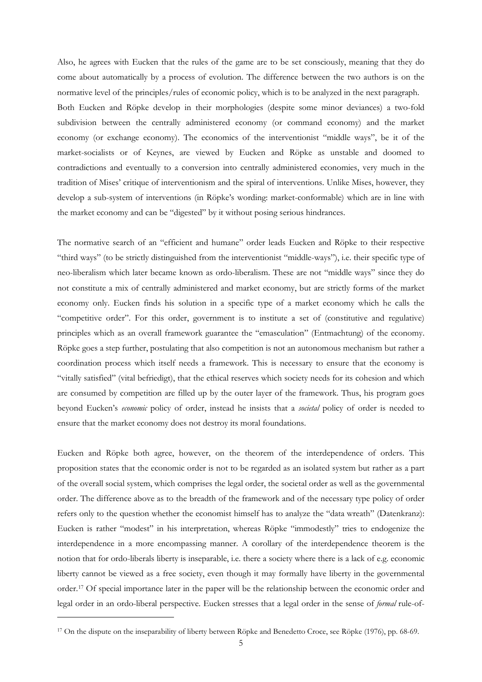Also, he agrees with Eucken that the rules of the game are to be set consciously, meaning that they do come about automatically by a process of evolution. The difference between the two authors is on the normative level of the principles/rules of economic policy, which is to be analyzed in the next paragraph. Both Eucken and Röpke develop in their morphologies (despite some minor deviances) a two-fold subdivision between the centrally administered economy (or command economy) and the market economy (or exchange economy). The economics of the interventionist "middle ways", be it of the market-socialists or of Keynes, are viewed by Eucken and Röpke as unstable and doomed to contradictions and eventually to a conversion into centrally administered economies, very much in the tradition of Mises' critique of interventionism and the spiral of interventions. Unlike Mises, however, they develop a sub-system of interventions (in Röpke's wording: market-conformable) which are in line with the market economy and can be "digested" by it without posing serious hindrances.

The normative search of an "efficient and humane" order leads Eucken and Röpke to their respective "third ways" (to be strictly distinguished from the interventionist "middle-ways"), i.e. their specific type of neo-liberalism which later became known as ordo-liberalism. These are not "middle ways" since they do not constitute a mix of centrally administered and market economy, but are strictly forms of the market economy only. Eucken finds his solution in a specific type of a market economy which he calls the "competitive order". For this order, government is to institute a set of (constitutive and regulative) principles which as an overall framework guarantee the "emasculation" (Entmachtung) of the economy. Röpke goes a step further, postulating that also competition is not an autonomous mechanism but rather a coordination process which itself needs a framework. This is necessary to ensure that the economy is "vitally satisfied" (vital befriedigt), that the ethical reserves which society needs for its cohesion and which are consumed by competition are filled up by the outer layer of the framework. Thus, his program goes beyond Eucken's *economic* policy of order, instead he insists that a *societal* policy of order is needed to ensure that the market economy does not destroy its moral foundations.

Eucken and Röpke both agree, however, on the theorem of the interdependence of orders. This proposition states that the economic order is not to be regarded as an isolated system but rather as a part of the overall social system, which comprises the legal order, the societal order as well as the governmental order. The difference above as to the breadth of the framework and of the necessary type policy of order refers only to the question whether the economist himself has to analyze the "data wreath" (Datenkranz): Eucken is rather "modest" in his interpretation, whereas Röpke "immodestly" tries to endogenize the interdependence in a more encompassing manner. A corollary of the interdependence theorem is the notion that for ordo-liberals liberty is inseparable, i.e. there a society where there is a lack of e.g. economic liberty cannot be viewed as a free society, even though it may formally have liberty in the governmental order.[17](#page-6-0) Of special importance later in the paper will be the relationship between the economic order and legal order in an ordo-liberal perspective. Eucken stresses that a legal order in the sense of *formal* rule-of-

<span id="page-6-0"></span><sup>&</sup>lt;sup>17</sup> On the dispute on the inseparability of liberty between Röpke and Benedetto Croce, see Röpke (1976), pp. 68-69.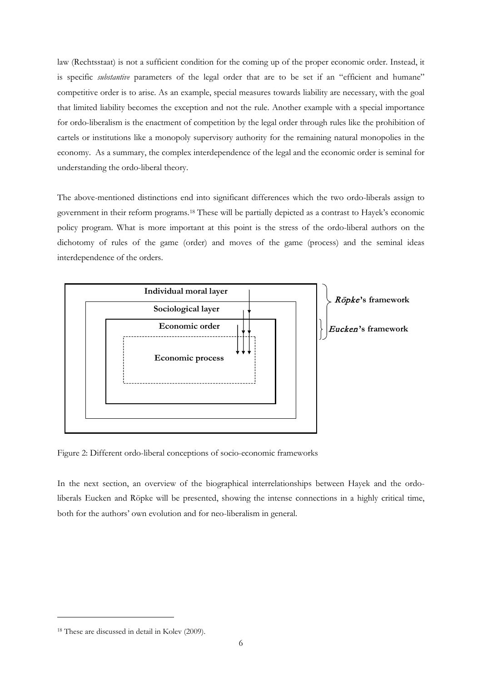law (Rechtsstaat) is not a sufficient condition for the coming up of the proper economic order. Instead, it is specific *substantive* parameters of the legal order that are to be set if an "efficient and humane" competitive order is to arise. As an example, special measures towards liability are necessary, with the goal that limited liability becomes the exception and not the rule. Another example with a special importance for ordo-liberalism is the enactment of competition by the legal order through rules like the prohibition of cartels or institutions like a monopoly supervisory authority for the remaining natural monopolies in the economy. As a summary, the complex interdependence of the legal and the economic order is seminal for understanding the ordo-liberal theory.

The above-mentioned distinctions end into significant differences which the two ordo-liberals assign to government in their reform programs[.18](#page-7-0) These will be partially depicted as a contrast to Hayek's economic policy program. What is more important at this point is the stress of the ordo-liberal authors on the dichotomy of rules of the game (order) and moves of the game (process) and the seminal ideas interdependence of the orders.



Figure 2: Different ordo-liberal conceptions of socio-economic frameworks

In the next section, an overview of the biographical interrelationships between Hayek and the ordoliberals Eucken and Röpke will be presented, showing the intense connections in a highly critical time, both for the authors' own evolution and for neo-liberalism in general.

<span id="page-7-0"></span><sup>18</sup> These are discussed in detail in Kolev (2009).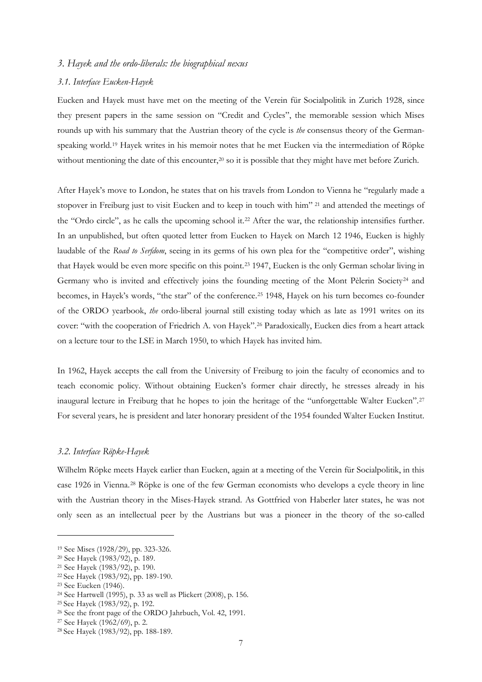#### <span id="page-8-0"></span>*3. Hayek and the ordo-liberals: the biographical nexus*

## <span id="page-8-1"></span>*3.1. Interface Eucken-Hayek*

Eucken and Hayek must have met on the meeting of the Verein für Socialpolitik in Zurich 1928, since they present papers in the same session on "Credit and Cycles", the memorable session which Mises rounds up with his summary that the Austrian theory of the cycle is *the* consensus theory of the Germanspeaking world.[19](#page-8-3) Hayek writes in his memoir notes that he met Eucken via the intermediation of Röpke without mentioning the date of this encounter,<sup>[20](#page-8-4)</sup> so it is possible that they might have met before Zurich.

After Hayek's move to London, he states that on his travels from London to Vienna he "regularly made a stopover in Freiburg just to visit Eucken and to keep in touch with him" [21](#page-8-5) and attended the meetings of the "Ordo circle", as he calls the upcoming school it.[22](#page-8-6) After the war, the relationship intensifies further. In an unpublished, but often quoted letter from Eucken to Hayek on March 12 1946, Eucken is highly laudable of the *Road to Serfdom*, seeing in its germs of his own plea for the "competitive order", wishing that Hayek would be even more specific on this point.[23](#page-8-7) 1947, Eucken is the only German scholar living in Germany who is invited and effectively joins the founding meeting of the Mont Pèlerin Society[24](#page-8-8) and becomes, in Hayek's words, "the star" of the conference.[25](#page-8-9) 1948, Hayek on his turn becomes co-founder of the ORDO yearbook, *the* ordo-liberal journal still existing today which as late as 1991 writes on its cover: "with the cooperation of Friedrich A. von Hayek".[26](#page-8-10) Paradoxically, Eucken dies from a heart attack on a lecture tour to the LSE in March 1950, to which Hayek has invited him.

In 1962, Hayek accepts the call from the University of Freiburg to join the faculty of economics and to teach economic policy. Without obtaining Eucken's former chair directly, he stresses already in his inaugural lecture in Freiburg that he hopes to join the heritage of the "unforgettable Walter Eucken".[27](#page-8-11) For several years, he is president and later honorary president of the 1954 founded Walter Eucken Institut.

#### <span id="page-8-2"></span>*3.2. Interface Röpke-Hayek*

Wilhelm Röpke meets Hayek earlier than Eucken, again at a meeting of the Verein für Socialpolitik, in this case 1926 in Vienna.[28](#page-8-12) Röpke is one of the few German economists who develops a cycle theory in line with the Austrian theory in the Mises-Hayek strand. As Gottfried von Haberler later states, he was not only seen as an intellectual peer by the Austrians but was a pioneer in the theory of the so-called

 $\overline{a}$ 

<span id="page-8-9"></span><sup>25</sup> See Hayek (1983/92), p. 192.

<span id="page-8-3"></span><sup>19</sup> See Mises (1928/29), pp. 323-326.

<span id="page-8-4"></span><sup>20</sup> See Hayek (1983/92), p. 189.

<span id="page-8-5"></span><sup>21</sup> See Hayek (1983/92), p. 190.

<span id="page-8-6"></span><sup>22</sup> See Hayek (1983/92), pp. 189-190.

<span id="page-8-7"></span><sup>23</sup> See Eucken (1946).

<span id="page-8-8"></span><sup>24</sup> See Hartwell (1995), p. 33 as well as Plickert (2008), p. 156.

<span id="page-8-10"></span><sup>26</sup> See the front page of the ORDO Jahrbuch, Vol. 42, 1991.

<span id="page-8-11"></span><sup>27</sup> See Hayek (1962/69), p. 2.

<span id="page-8-12"></span><sup>28</sup> See Hayek (1983/92), pp. 188-189.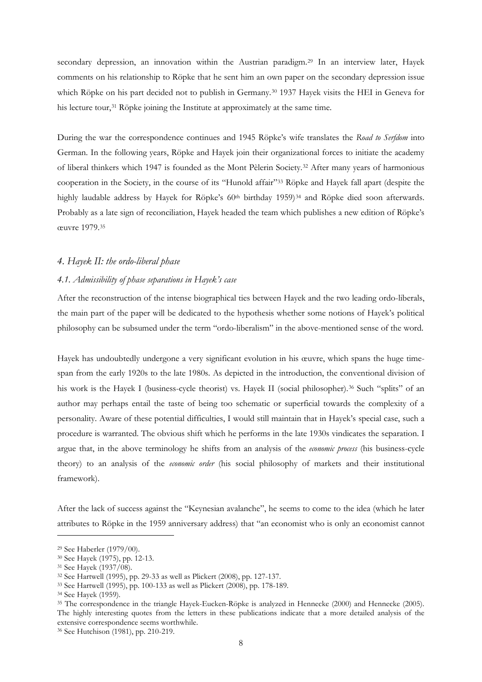secondary depression, an innovation within the Austrian paradigm.<sup>[29](#page-9-2)</sup> In an interview later, Hayek comments on his relationship to Röpke that he sent him an own paper on the secondary depression issue which Röpke on his part decided not to publish in Germany.<sup>[30](#page-9-3)</sup> 1937 Hayek visits the HEI in Geneva for his lecture tour,<sup>[31](#page-9-4)</sup> Röpke joining the Institute at approximately at the same time.

During the war the correspondence continues and 1945 Röpke's wife translates the *Road to Serfdom* into German. In the following years, Röpke and Hayek join their organizational forces to initiate the academy of liberal thinkers which 1947 is founded as the Mont Pèlerin Society.[32](#page-9-5) After many years of harmonious cooperation in the Society, in the course of its "Hunold affair"[33](#page-9-6) Röpke and Hayek fall apart (despite the highly laudable address by Hayek for Röpke's 60<sup>th</sup> birthday 1959)<sup>[34](#page-9-7)</sup> and Röpke died soon afterwards. Probably as a late sign of reconciliation, Hayek headed the team which publishes a new edition of Röpke's œuvre 1979.[35](#page-9-8)

# <span id="page-9-0"></span>*4. Hayek II: the ordo-liberal phase*

# <span id="page-9-1"></span>*4.1. Admissibility of phase separations in Hayek's case*

After the reconstruction of the intense biographical ties between Hayek and the two leading ordo-liberals, the main part of the paper will be dedicated to the hypothesis whether some notions of Hayek's political philosophy can be subsumed under the term "ordo-liberalism" in the above-mentioned sense of the word.

Hayek has undoubtedly undergone a very significant evolution in his œuvre, which spans the huge timespan from the early 1920s to the late 1980s. As depicted in the introduction, the conventional division of his work is the Hayek I (business-cycle theorist) vs. Hayek II (social philosopher).<sup>[36](#page-9-9)</sup> Such "splits" of an author may perhaps entail the taste of being too schematic or superficial towards the complexity of a personality. Aware of these potential difficulties, I would still maintain that in Hayek's special case, such a procedure is warranted. The obvious shift which he performs in the late 1930s vindicates the separation. I argue that, in the above terminology he shifts from an analysis of the *economic process* (his business-cycle theory) to an analysis of the *economic order* (his social philosophy of markets and their institutional framework).

After the lack of success against the "Keynesian avalanche", he seems to come to the idea (which he later attributes to Röpke in the 1959 anniversary address) that "an economist who is only an economist cannot

<span id="page-9-2"></span><sup>29</sup> See Haberler (1979/00).

<span id="page-9-3"></span><sup>30</sup> See Hayek (1975), pp. 12-13.

<span id="page-9-4"></span><sup>31</sup> See Hayek (1937/08).

<span id="page-9-5"></span><sup>32</sup> See Hartwell (1995), pp. 29-33 as well as Plickert (2008), pp. 127-137.

<span id="page-9-6"></span><sup>33</sup> See Hartwell (1995), pp. 100-133 as well as Plickert (2008), pp. 178-189.

<span id="page-9-7"></span><sup>34</sup> See Hayek (1959).

<span id="page-9-8"></span><sup>35</sup> The correspondence in the triangle Hayek-Eucken-Röpke is analyzed in Hennecke (2000) and Hennecke (2005). The highly interesting quotes from the letters in these publications indicate that a more detailed analysis of the extensive correspondence seems worthwhile.

<span id="page-9-9"></span><sup>36</sup> See Hutchison (1981), pp. 210-219.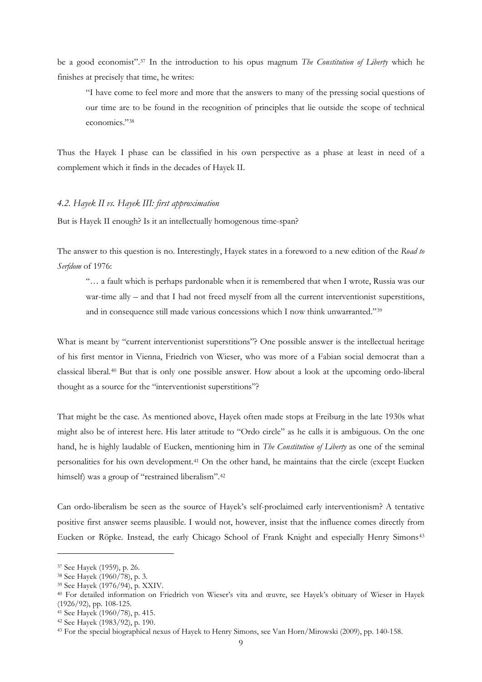be a good economist".[37](#page-10-1) In the introduction to his opus magnum *The Constitution of Liberty* which he finishes at precisely that time, he writes:

"I have come to feel more and more that the answers to many of the pressing social questions of our time are to be found in the recognition of principles that lie outside the scope of technical economics." [38](#page-10-2)

Thus the Hayek I phase can be classified in his own perspective as a phase at least in need of a complement which it finds in the decades of Hayek II.

#### <span id="page-10-0"></span>*4.2. Hayek II vs. Hayek III: first approximation*

But is Hayek II enough? Is it an intellectually homogenous time-span?

The answer to this question is no. Interestingly, Hayek states in a foreword to a new edition of the *Road to Serfdom* of 1976:

"… a fault which is perhaps pardonable when it is remembered that when I wrote, Russia was our war-time ally – and that I had not freed myself from all the current interventionist superstitions, and in consequence still made various concessions which I now think unwarranted."[39](#page-10-3)

What is meant by "current interventionist superstitions"? One possible answer is the intellectual heritage of his first mentor in Vienna, Friedrich von Wieser, who was more of a Fabian social democrat than a classical liberal.[40](#page-10-4) But that is only one possible answer. How about a look at the upcoming ordo-liberal thought as a source for the "interventionist superstitions"?

That might be the case. As mentioned above, Hayek often made stops at Freiburg in the late 1930s what might also be of interest here. His later attitude to "Ordo circle" as he calls it is ambiguous. On the one hand, he is highly laudable of Eucken, mentioning him in *The Constitution of Liberty* as one of the seminal personalities for his own development.[41](#page-10-5) On the other hand, he maintains that the circle (except Eucken himself) was a group of "restrained liberalism".<sup>[42](#page-10-6)</sup>

Can ordo-liberalism be seen as the source of Hayek's self-proclaimed early interventionism? A tentative positive first answer seems plausible. I would not, however, insist that the influence comes directly from Eucken or Röpke. Instead, the early Chicago School of Frank Knight and especially Henry Simons<sup>[43](#page-10-7)</sup>

<span id="page-10-1"></span><sup>37</sup> See Hayek (1959), p. 26.

<span id="page-10-2"></span><sup>38</sup> See Hayek (1960/78), p. 3.

<span id="page-10-3"></span><sup>39</sup> See Hayek (1976/94), p. XXIV.

<span id="page-10-4"></span><sup>40</sup> For detailed information on Friedrich von Wieser's vita and œuvre, see Hayek's obituary of Wieser in Hayek (1926/92), pp. 108-125.

<span id="page-10-5"></span><sup>41</sup> See Hayek (1960/78), p. 415.

<span id="page-10-6"></span><sup>42</sup> See Hayek (1983/92), p. 190.

<span id="page-10-7"></span><sup>43</sup> For the special biographical nexus of Hayek to Henry Simons, see Van Horn/Mirowski (2009), pp. 140-158.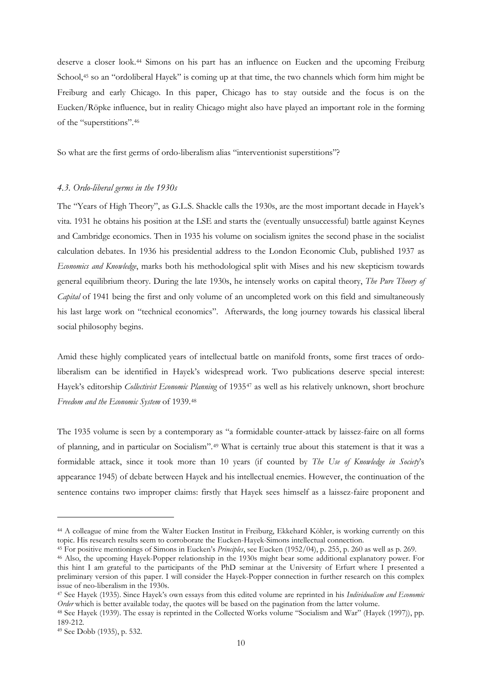deserve a closer look[.44](#page-11-1) Simons on his part has an influence on Eucken and the upcoming Freiburg School,<sup>[45](#page-11-2)</sup> so an "ordoliberal Hayek" is coming up at that time, the two channels which form him might be Freiburg and early Chicago. In this paper, Chicago has to stay outside and the focus is on the Eucken/Röpke influence, but in reality Chicago might also have played an important role in the forming of the "superstitions".[46](#page-11-3)

So what are the first germs of ordo-liberalism alias "interventionist superstitions"?

#### <span id="page-11-0"></span>*4.3. Ordo-liberal germs in the 1930s*

The "Years of High Theory", as G.L.S. Shackle calls the 1930s, are the most important decade in Hayek's vita. 1931 he obtains his position at the LSE and starts the (eventually unsuccessful) battle against Keynes and Cambridge economics. Then in 1935 his volume on socialism ignites the second phase in the socialist calculation debates. In 1936 his presidential address to the London Economic Club, published 1937 as *Economics and Knowledge*, marks both his methodological split with Mises and his new skepticism towards general equilibrium theory. During the late 1930s, he intensely works on capital theory, *The Pure Theory of Capital* of 1941 being the first and only volume of an uncompleted work on this field and simultaneously his last large work on "technical economics". Afterwards, the long journey towards his classical liberal social philosophy begins.

Amid these highly complicated years of intellectual battle on manifold fronts, some first traces of ordoliberalism can be identified in Hayek's widespread work. Two publications deserve special interest: Hayek's editorship *Collectivist Economic Planning* of 1935[47](#page-11-4) as well as his relatively unknown, short brochure *Freedom and the Economic System* of 1939.[48](#page-11-5)

The 1935 volume is seen by a contemporary as "a formidable counter-attack by laissez-faire on all forms of planning, and in particular on Socialism".[49](#page-11-6) What is certainly true about this statement is that it was a formidable attack, since it took more than 10 years (if counted by *The Use of Knowledge in Society*'s appearance 1945) of debate between Hayek and his intellectual enemies. However, the continuation of the sentence contains two improper claims: firstly that Hayek sees himself as a laissez-faire proponent and

<span id="page-11-1"></span><sup>44</sup> A colleague of mine from the Walter Eucken Institut in Freiburg, Ekkehard Köhler, is working currently on this topic. His research results seem to corroborate the Eucken-Hayek-Simons intellectual connection.

<span id="page-11-2"></span><sup>45</sup> For positive mentionings of Simons in Eucken's *Principles*, see Eucken (1952/04), p. 255, p. 260 as well as p. 269.

<span id="page-11-3"></span><sup>46</sup> Also, the upcoming Hayek-Popper relationship in the 1930s might bear some additional explanatory power. For this hint I am grateful to the participants of the PhD seminar at the University of Erfurt where I presented a preliminary version of this paper. I will consider the Hayek-Popper connection in further research on this complex issue of neo-liberalism in the 1930s.

<span id="page-11-4"></span><sup>47</sup> See Hayek (1935). Since Hayek's own essays from this edited volume are reprinted in his *Individualism and Economic Order* which is better available today, the quotes will be based on the pagination from the latter volume.

<span id="page-11-5"></span><sup>48</sup> See Hayek (1939). The essay is reprinted in the Collected Works volume "Socialism and War" (Hayek (1997)), pp. 189-212.

<span id="page-11-6"></span><sup>49</sup> See Dobb (1935), p. 532.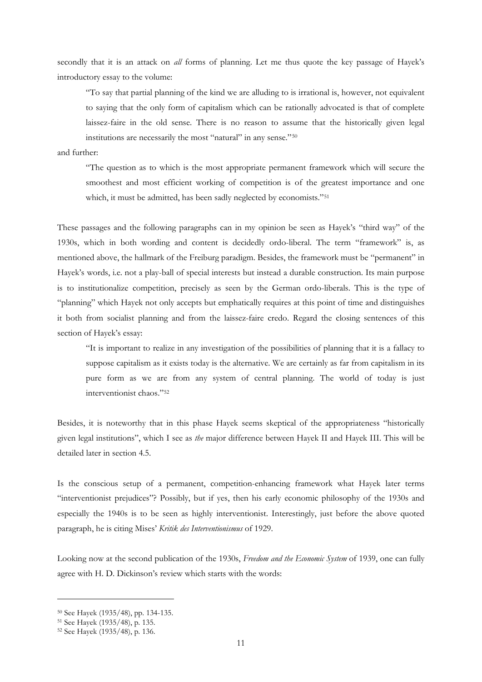secondly that it is an attack on *all* forms of planning. Let me thus quote the key passage of Hayek's introductory essay to the volume:

"To say that partial planning of the kind we are alluding to is irrational is, however, not equivalent to saying that the only form of capitalism which can be rationally advocated is that of complete laissez-faire in the old sense. There is no reason to assume that the historically given legal institutions are necessarily the most "natural" in any sense."[50](#page-12-0)

and further:

"The question as to which is the most appropriate permanent framework which will secure the smoothest and most efficient working of competition is of the greatest importance and one which, it must be admitted, has been sadly neglected by economists."<sup>51</sup>

These passages and the following paragraphs can in my opinion be seen as Hayek's "third way" of the 1930s, which in both wording and content is decidedly ordo-liberal. The term "framework" is, as mentioned above, the hallmark of the Freiburg paradigm. Besides, the framework must be "permanent" in Hayek's words, i.e. not a play-ball of special interests but instead a durable construction. Its main purpose is to institutionalize competition, precisely as seen by the German ordo-liberals. This is the type of "planning" which Hayek not only accepts but emphatically requires at this point of time and distinguishes it both from socialist planning and from the laissez-faire credo. Regard the closing sentences of this section of Hayek's essay:

"It is important to realize in any investigation of the possibilities of planning that it is a fallacy to suppose capitalism as it exists today is the alternative. We are certainly as far from capitalism in its pure form as we are from any system of central planning. The world of today is just interventionist chaos."[52](#page-12-2)

Besides, it is noteworthy that in this phase Hayek seems skeptical of the appropriateness "historically given legal institutions", which I see as *the* major difference between Hayek II and Hayek III. This will be detailed later in section 4.5.

Is the conscious setup of a permanent, competition-enhancing framework what Hayek later terms "interventionist prejudices"? Possibly, but if yes, then his early economic philosophy of the 1930s and especially the 1940s is to be seen as highly interventionist. Interestingly, just before the above quoted paragraph, he is citing Mises' *Kritik des Interventionismus* of 1929.

Looking now at the second publication of the 1930s, *Freedom and the Economic System* of 1939, one can fully agree with H. D. Dickinson's review which starts with the words:

<span id="page-12-0"></span><sup>50</sup> See Hayek (1935/48), pp. 134-135.

<span id="page-12-1"></span><sup>51</sup> See Hayek (1935/48), p. 135.

<span id="page-12-2"></span><sup>52</sup> See Hayek (1935/48), p. 136.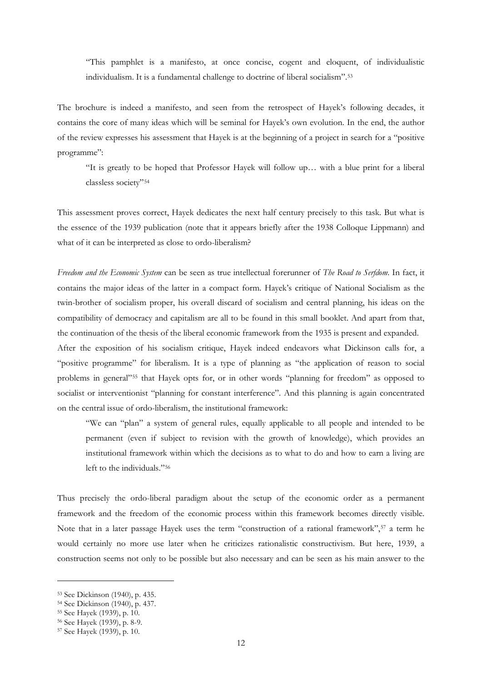"This pamphlet is a manifesto, at once concise, cogent and eloquent, of individualistic individualism. It is a fundamental challenge to doctrine of liberal socialism".[53](#page-13-0) 

The brochure is indeed a manifesto, and seen from the retrospect of Hayek's following decades, it contains the core of many ideas which will be seminal for Hayek's own evolution. In the end, the author of the review expresses his assessment that Hayek is at the beginning of a project in search for a "positive programme":

"It is greatly to be hoped that Professor Hayek will follow up… with a blue print for a liberal classless society"[54](#page-13-1)

This assessment proves correct, Hayek dedicates the next half century precisely to this task. But what is the essence of the 1939 publication (note that it appears briefly after the 1938 Colloque Lippmann) and what of it can be interpreted as close to ordo-liberalism?

*Freedom and the Economic System* can be seen as true intellectual forerunner of *The Road to Serfdom*. In fact, it contains the major ideas of the latter in a compact form. Hayek's critique of National Socialism as the twin-brother of socialism proper, his overall discard of socialism and central planning, his ideas on the compatibility of democracy and capitalism are all to be found in this small booklet. And apart from that, the continuation of the thesis of the liberal economic framework from the 1935 is present and expanded.

After the exposition of his socialism critique, Hayek indeed endeavors what Dickinson calls for, a "positive programme" for liberalism. It is a type of planning as "the application of reason to social problems in general"<sup>[55](#page-13-2)</sup> that Hayek opts for, or in other words "planning for freedom" as opposed to socialist or interventionist "planning for constant interference". And this planning is again concentrated on the central issue of ordo-liberalism, the institutional framework:

"We can "plan" a system of general rules, equally applicable to all people and intended to be permanent (even if subject to revision with the growth of knowledge), which provides an institutional framework within which the decisions as to what to do and how to earn a living are left to the individuals." [56](#page-13-3)

Thus precisely the ordo-liberal paradigm about the setup of the economic order as a permanent framework and the freedom of the economic process within this framework becomes directly visible. Note that in a later passage Hayek uses the term "construction of a rational framework",<sup>[57](#page-13-4)</sup> a term he would certainly no more use later when he criticizes rationalistic constructivism. But here, 1939, a construction seems not only to be possible but also necessary and can be seen as his main answer to the

<span id="page-13-0"></span><sup>53</sup> See Dickinson (1940), p. 435.

<span id="page-13-1"></span><sup>54</sup> See Dickinson (1940), p. 437.

<span id="page-13-2"></span><sup>55</sup> See Hayek (1939), p. 10.

<span id="page-13-3"></span><sup>56</sup> See Hayek (1939), p. 8-9.

<span id="page-13-4"></span><sup>57</sup> See Hayek (1939), p. 10.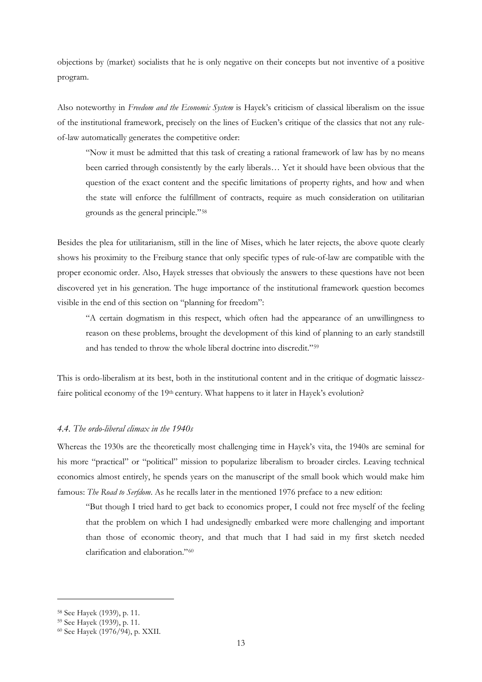objections by (market) socialists that he is only negative on their concepts but not inventive of a positive program.

Also noteworthy in *Freedom and the Economic System* is Hayek's criticism of classical liberalism on the issue of the institutional framework, precisely on the lines of Eucken's critique of the classics that not any ruleof-law automatically generates the competitive order:

"Now it must be admitted that this task of creating a rational framework of law has by no means been carried through consistently by the early liberals… Yet it should have been obvious that the question of the exact content and the specific limitations of property rights, and how and when the state will enforce the fulfillment of contracts, require as much consideration on utilitarian grounds as the general principle."[58](#page-14-1)

Besides the plea for utilitarianism, still in the line of Mises, which he later rejects, the above quote clearly shows his proximity to the Freiburg stance that only specific types of rule-of-law are compatible with the proper economic order. Also, Hayek stresses that obviously the answers to these questions have not been discovered yet in his generation. The huge importance of the institutional framework question becomes visible in the end of this section on "planning for freedom":

"A certain dogmatism in this respect, which often had the appearance of an unwillingness to reason on these problems, brought the development of this kind of planning to an early standstill and has tended to throw the whole liberal doctrine into discredit.["59](#page-14-2)

This is ordo-liberalism at its best, both in the institutional content and in the critique of dogmatic laissezfaire political economy of the 19<sup>th</sup> century. What happens to it later in Hayek's evolution?

#### <span id="page-14-0"></span>*4.4. The ordo-liberal climax in the 1940s*

Whereas the 1930s are the theoretically most challenging time in Hayek's vita, the 1940s are seminal for his more "practical" or "political" mission to popularize liberalism to broader circles. Leaving technical economics almost entirely, he spends years on the manuscript of the small book which would make him famous: *The Road to Serfdom*. As he recalls later in the mentioned 1976 preface to a new edition:

"But though I tried hard to get back to economics proper, I could not free myself of the feeling that the problem on which I had undesignedly embarked were more challenging and important than those of economic theory, and that much that I had said in my first sketch needed clarification and elaboration."[60](#page-14-3)

<span id="page-14-1"></span><sup>58</sup> See Hayek (1939), p. 11.

<span id="page-14-2"></span><sup>59</sup> See Hayek (1939), p. 11.

<span id="page-14-3"></span><sup>60</sup> See Hayek (1976/94), p. XXII.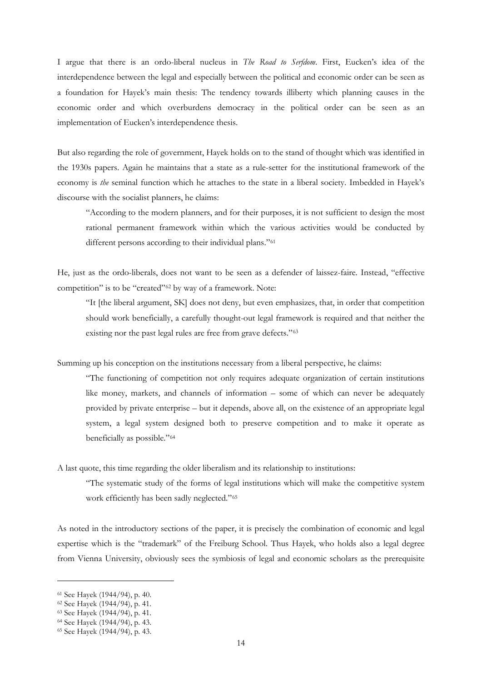I argue that there is an ordo-liberal nucleus in *The Road to Serfdom*. First, Eucken's idea of the interdependence between the legal and especially between the political and economic order can be seen as a foundation for Hayek's main thesis: The tendency towards illiberty which planning causes in the economic order and which overburdens democracy in the political order can be seen as an implementation of Eucken's interdependence thesis.

But also regarding the role of government, Hayek holds on to the stand of thought which was identified in the 1930s papers. Again he maintains that a state as a rule-setter for the institutional framework of the economy is *the* seminal function which he attaches to the state in a liberal society. Imbedded in Hayek's discourse with the socialist planners, he claims:

"According to the modern planners, and for their purposes, it is not sufficient to design the most rational permanent framework within which the various activities would be conducted by different persons according to their individual plans."[61](#page-15-0)

He, just as the ordo-liberals, does not want to be seen as a defender of laissez-faire. Instead, "effective competition" is to be "created"[62](#page-15-1) by way of a framework. Note:

"It [the liberal argument, SK] does not deny, but even emphasizes, that, in order that competition should work beneficially, a carefully thought-out legal framework is required and that neither the existing nor the past legal rules are free from grave defects." [63](#page-15-2)

Summing up his conception on the institutions necessary from a liberal perspective, he claims:

"The functioning of competition not only requires adequate organization of certain institutions like money, markets, and channels of information – some of which can never be adequately provided by private enterprise – but it depends, above all, on the existence of an appropriate legal system, a legal system designed both to preserve competition and to make it operate as beneficially as possible."[64](#page-15-3)

A last quote, this time regarding the older liberalism and its relationship to institutions:

"The systematic study of the forms of legal institutions which will make the competitive system work efficiently has been sadly neglected."[65](#page-15-4)

As noted in the introductory sections of the paper, it is precisely the combination of economic and legal expertise which is the "trademark" of the Freiburg School. Thus Hayek, who holds also a legal degree from Vienna University, obviously sees the symbiosis of legal and economic scholars as the prerequisite

<span id="page-15-0"></span><sup>61</sup> See Hayek (1944/94), p. 40.

<span id="page-15-1"></span><sup>62</sup> See Hayek (1944/94), p. 41.

<span id="page-15-2"></span><sup>63</sup> See Hayek (1944/94), p. 41.

<span id="page-15-3"></span><sup>64</sup> See Hayek (1944/94), p. 43.

<span id="page-15-4"></span><sup>65</sup> See Hayek (1944/94), p. 43.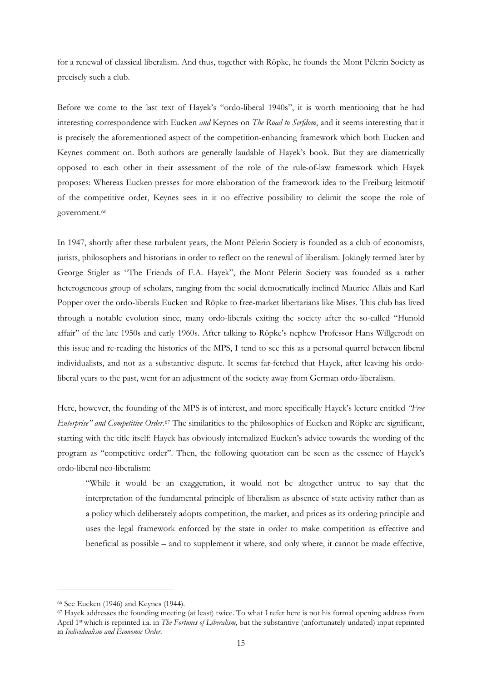for a renewal of classical liberalism. And thus, together with Röpke, he founds the Mont Pèlerin Society as precisely such a club.

Before we come to the last text of Hayek's "ordo-liberal 1940s", it is worth mentioning that he had interesting correspondence with Eucken *and* Keynes on *The Road to Serfdom*, and it seems interesting that it is precisely the aforementioned aspect of the competition-enhancing framework which both Eucken and Keynes comment on. Both authors are generally laudable of Hayek's book. But they are diametrically opposed to each other in their assessment of the role of the rule-of-law framework which Hayek proposes: Whereas Eucken presses for more elaboration of the framework idea to the Freiburg leitmotif of the competitive order, Keynes sees in it no effective possibility to delimit the scope the role of government.[66](#page-16-0)

In 1947, shortly after these turbulent years, the Mont Pèlerin Society is founded as a club of economists, jurists, philosophers and historians in order to reflect on the renewal of liberalism. Jokingly termed later by George Stigler as "The Friends of F.A. Hayek", the Mont Pèlerin Society was founded as a rather heterogeneous group of scholars, ranging from the social democratically inclined Maurice Allais and Karl Popper over the ordo-liberals Eucken and Röpke to free-market libertarians like Mises. This club has lived through a notable evolution since, many ordo-liberals exiting the society after the so-called "Hunold affair" of the late 1950s and early 1960s. After talking to Röpke's nephew Professor Hans Willgerodt on this issue and re-reading the histories of the MPS, I tend to see this as a personal quarrel between liberal individualists, and not as a substantive dispute. It seems far-fetched that Hayek, after leaving his ordoliberal years to the past, went for an adjustment of the society away from German ordo-liberalism.

Here, however, the founding of the MPS is of interest, and more specifically Hayek's lecture entitled *"Free Enterprise" and Competitive Order*.[67](#page-16-1) The similarities to the philosophies of Eucken and Röpke are significant, starting with the title itself: Hayek has obviously internalized Eucken's advice towards the wording of the program as "competitive order". Then, the following quotation can be seen as the essence of Hayek's ordo-liberal neo-liberalism:

"While it would be an exaggeration, it would not be altogether untrue to say that the interpretation of the fundamental principle of liberalism as absence of state activity rather than as a policy which deliberately adopts competition, the market, and prices as its ordering principle and uses the legal framework enforced by the state in order to make competition as effective and beneficial as possible – and to supplement it where, and only where, it cannot be made effective,

<span id="page-16-0"></span><sup>66</sup> See Eucken (1946) and Keynes (1944).

<span id="page-16-1"></span><sup>67</sup> Hayek addresses the founding meeting (at least) twice. To what I refer here is not his formal opening address from April 1st which is reprinted i.a. in *The Fortunes of Liberalism*, but the substantive (unfortunately undated) input reprinted in *Individualism and Economic Order*.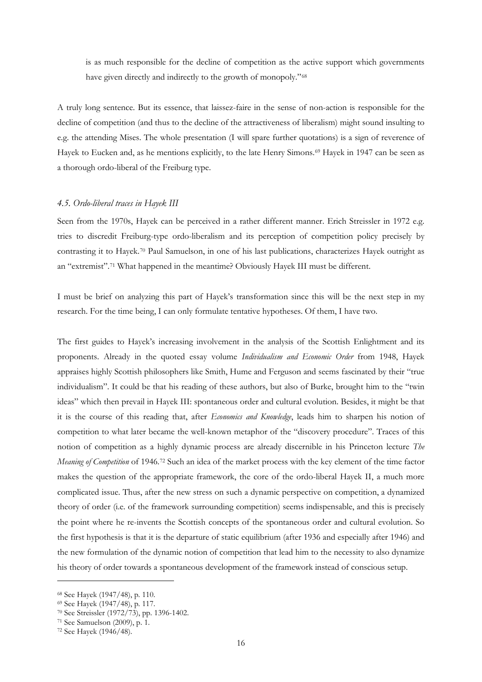is as much responsible for the decline of competition as the active support which governments have given directly and indirectly to the growth of monopoly."<sup>[68](#page-17-1)</sup>

A truly long sentence. But its essence, that laissez-faire in the sense of non-action is responsible for the decline of competition (and thus to the decline of the attractiveness of liberalism) might sound insulting to e.g. the attending Mises. The whole presentation (I will spare further quotations) is a sign of reverence of Hayek to Eucken and, as he mentions explicitly, to the late Henry Simons.[69](#page-17-2) Hayek in 1947 can be seen as a thorough ordo-liberal of the Freiburg type.

#### <span id="page-17-0"></span>*4.5. Ordo-liberal traces in Hayek III*

Seen from the 1970s, Hayek can be perceived in a rather different manner. Erich Streissler in 1972 e.g. tries to discredit Freiburg-type ordo-liberalism and its perception of competition policy precisely by contrasting it to Hayek.[70](#page-17-3) Paul Samuelson, in one of his last publications, characterizes Hayek outright as an "extremist".[71](#page-17-4) What happened in the meantime? Obviously Hayek III must be different.

I must be brief on analyzing this part of Hayek's transformation since this will be the next step in my research. For the time being, I can only formulate tentative hypotheses. Of them, I have two.

The first guides to Hayek's increasing involvement in the analysis of the Scottish Enlightment and its proponents. Already in the quoted essay volume *Individualism and Economic Order* from 1948, Hayek appraises highly Scottish philosophers like Smith, Hume and Ferguson and seems fascinated by their "true individualism". It could be that his reading of these authors, but also of Burke, brought him to the "twin ideas" which then prevail in Hayek III: spontaneous order and cultural evolution. Besides, it might be that it is the course of this reading that, after *Economics and Knowledge*, leads him to sharpen his notion of competition to what later became the well-known metaphor of the "discovery procedure". Traces of this notion of competition as a highly dynamic process are already discernible in his Princeton lecture *The Meaning of Competition* of 1946.[72](#page-17-5) Such an idea of the market process with the key element of the time factor makes the question of the appropriate framework, the core of the ordo-liberal Hayek II, a much more complicated issue. Thus, after the new stress on such a dynamic perspective on competition, a dynamized theory of order (i.e. of the framework surrounding competition) seems indispensable, and this is precisely the point where he re-invents the Scottish concepts of the spontaneous order and cultural evolution. So the first hypothesis is that it is the departure of static equilibrium (after 1936 and especially after 1946) and the new formulation of the dynamic notion of competition that lead him to the necessity to also dynamize his theory of order towards a spontaneous development of the framework instead of conscious setup.

<span id="page-17-1"></span><sup>68</sup> See Hayek (1947/48), p. 110.

<span id="page-17-2"></span><sup>69</sup> See Hayek (1947/48), p. 117.

<span id="page-17-3"></span><sup>70</sup> See Streissler (1972/73), pp. 1396-1402.

<span id="page-17-4"></span><sup>71</sup> See Samuelson (2009), p. 1.

<span id="page-17-5"></span><sup>72</sup> See Hayek (1946/48).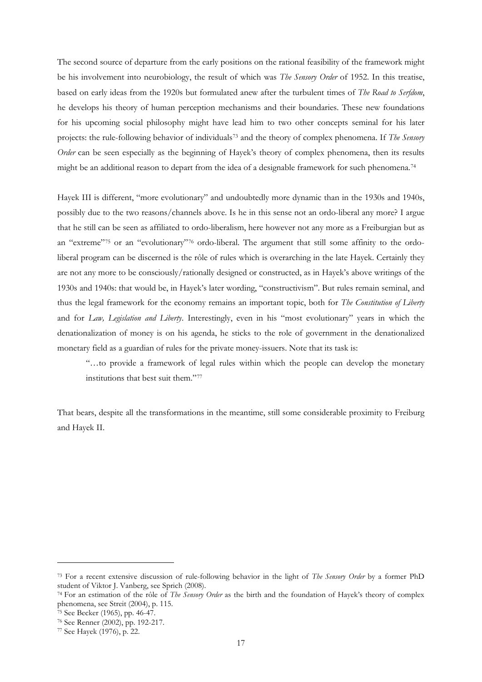The second source of departure from the early positions on the rational feasibility of the framework might be his involvement into neurobiology, the result of which was *The Sensory Order* of 1952. In this treatise, based on early ideas from the 1920s but formulated anew after the turbulent times of *The Road to Serfdom*, he develops his theory of human perception mechanisms and their boundaries. These new foundations for his upcoming social philosophy might have lead him to two other concepts seminal for his later projects: the rule-following behavior of individuals<sup>[73](#page-18-0)</sup> and the theory of complex phenomena. If *The Sensory Order* can be seen especially as the beginning of Hayek's theory of complex phenomena, then its results might be an additional reason to depart from the idea of a designable framework for such phenomena.<sup>74</sup>

Hayek III is different, "more evolutionary" and undoubtedly more dynamic than in the 1930s and 1940s, possibly due to the two reasons/channels above. Is he in this sense not an ordo-liberal any more? I argue that he still can be seen as affiliated to ordo-liberalism, here however not any more as a Freiburgian but as an "extreme"<sup>[75](#page-18-2)</sup> or an "evolutionary"<sup>[76](#page-18-3)</sup> ordo-liberal. The argument that still some affinity to the ordoliberal program can be discerned is the rôle of rules which is overarching in the late Hayek. Certainly they are not any more to be consciously/rationally designed or constructed, as in Hayek's above writings of the 1930s and 1940s: that would be, in Hayek's later wording, "constructivism". But rules remain seminal, and thus the legal framework for the economy remains an important topic, both for *The Constitution of Liberty* and for *Law, Legislation and Liberty*. Interestingly, even in his "most evolutionary" years in which the denationalization of money is on his agenda, he sticks to the role of government in the denationalized monetary field as a guardian of rules for the private money-issuers. Note that its task is:

"…to provide a framework of legal rules within which the people can develop the monetary institutions that best suit them." [77](#page-18-4)

That bears, despite all the transformations in the meantime, still some considerable proximity to Freiburg and Hayek II.

<span id="page-18-0"></span><sup>73</sup> For a recent extensive discussion of rule-following behavior in the light of *The Sensory Order* by a former PhD student of Viktor J. Vanberg, see Sprich (2008).

<span id="page-18-1"></span><sup>74</sup> For an estimation of the rôle of *The Sensory Order* as the birth and the foundation of Hayek's theory of complex phenomena, see Streit (2004), p. 115.

<span id="page-18-2"></span><sup>75</sup> See Becker (1965), pp. 46-47.

<span id="page-18-3"></span><sup>76</sup> See Renner (2002), pp. 192-217.

<span id="page-18-4"></span><sup>77</sup> See Hayek (1976), p. 22.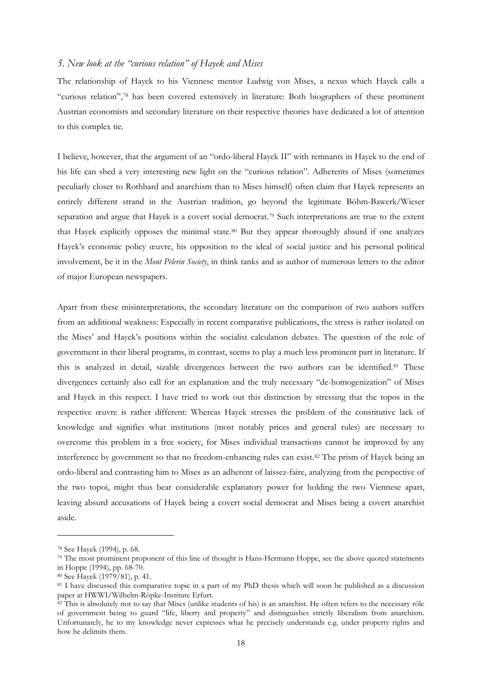# <span id="page-19-0"></span>*5. New look at the "curious relation" of Hayek and Mises*

The relationship of Hayek to his Viennese mentor Ludwig von Mises, a nexus which Hayek calls a "curious relation",[78](#page-19-1) has been covered extensively in literature: Both biographers of these prominent Austrian economists and secondary literature on their respective theories have dedicated a lot of attention to this complex tie.

I believe, however, that the argument of an "ordo-liberal Hayek II" with remnants in Hayek to the end of his life can shed a very interesting new light on the "curious relation". Adherents of Mises (sometimes peculiarly closer to Rothbard and anarchism than to Mises himself) often claim that Hayek represents an entirely different strand in the Austrian tradition, go beyond the legitimate Böhm-Bawerk/Wieser separation and argue that Hayek is a covert social democrat.<sup>[79](#page-19-2)</sup> Such interpretations are true to the extent that Hayek explicitly opposes the minimal state.[80](#page-19-3) But they appear thoroughly absurd if one analyzes Hayek's economic policy œuvre, his opposition to the ideal of social justice and his personal political involvement, be it in the *Mont Pèlerin Society*, in think tanks and as author of numerous letters to the editor of major European newspapers.

Apart from these misinterpretations, the secondary literature on the comparison of two authors suffers from an additional weakness: Especially in recent comparative publications, the stress is rather isolated on the Mises' and Hayek's positions within the socialist calculation debates. The question of the role of government in their liberal programs, in contrast, seems to play a much less prominent part in literature. If this is analyzed in detail, sizable divergences between the two authors can be identified.<sup>[81](#page-19-4)</sup> These divergences certainly also call for an explanation and the truly necessary "de-homogenization" of Mises and Hayek in this respect. I have tried to work out this distinction by stressing that the topos in the respective œuvre is rather different: Whereas Hayek stresses the problem of the constitutive lack of knowledge and signifies what institutions (most notably prices and general rules) are necessary to overcome this problem in a free society, for Mises individual transactions cannot be improved by any interference by government so that no freedom-enhancing rules can exist[.82](#page-19-5) The prism of Hayek being an ordo-liberal and contrasting him to Mises as an adherent of laissez-faire, analyzing from the perspective of the two topoi, might thus bear considerable explanatory power for holding the two Viennese apart, leaving absurd accusations of Hayek being a covert social democrat and Mises being a covert anarchist aside.

<sup>78</sup> See Hayek (1994), p. 68.

<span id="page-19-2"></span><span id="page-19-1"></span><sup>79</sup> The most prominent proponent of this line of thought is Hans-Hermann Hoppe, see the above quoted statements in Hoppe (1994), pp. 68-70.

<span id="page-19-3"></span><sup>80</sup> See Hayek (1979/81), p. 41.

<span id="page-19-4"></span><sup>81</sup> I have discussed this comparative topic in a part of my PhD thesis which will soon be published as a discussion paper at HWWI/Wilhelm-Röpke-Institute Erfurt.

<span id="page-19-5"></span><sup>&</sup>lt;sup>82</sup> This is absolutely not to say that Mises (unlike students of his) is an anarchist. He often refers to the necessary rôle of government being to guard "life, liberty and property" and distinguishes strictly liberalism from anarchism. Unfortunately, he to my knowledge never expresses what he precisely understands e.g. under property rights and how he delimits them.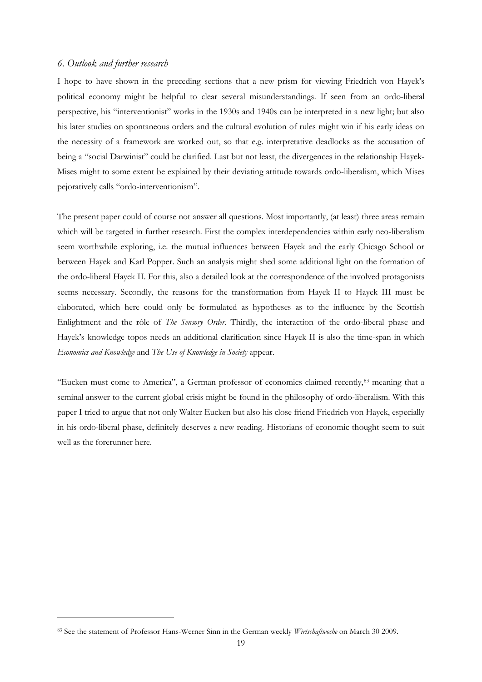## <span id="page-20-0"></span>*6. Outlook and further research*

 $\overline{a}$ 

I hope to have shown in the preceding sections that a new prism for viewing Friedrich von Hayek's political economy might be helpful to clear several misunderstandings. If seen from an ordo-liberal perspective, his "interventionist" works in the 1930s and 1940s can be interpreted in a new light; but also his later studies on spontaneous orders and the cultural evolution of rules might win if his early ideas on the necessity of a framework are worked out, so that e.g. interpretative deadlocks as the accusation of being a "social Darwinist" could be clarified. Last but not least, the divergences in the relationship Hayek-Mises might to some extent be explained by their deviating attitude towards ordo-liberalism, which Mises pejoratively calls "ordo-interventionism".

The present paper could of course not answer all questions. Most importantly, (at least) three areas remain which will be targeted in further research. First the complex interdependencies within early neo-liberalism seem worthwhile exploring, i.e. the mutual influences between Hayek and the early Chicago School or between Hayek and Karl Popper. Such an analysis might shed some additional light on the formation of the ordo-liberal Hayek II. For this, also a detailed look at the correspondence of the involved protagonists seems necessary. Secondly, the reasons for the transformation from Hayek II to Hayek III must be elaborated, which here could only be formulated as hypotheses as to the influence by the Scottish Enlightment and the rôle of *The Sensory Order*. Thirdly, the interaction of the ordo-liberal phase and Hayek's knowledge topos needs an additional clarification since Hayek II is also the time-span in which *Economics and Knowledge* and *The Use of Knowledge in Society* appear.

"Eucken must come to America", a German professor of economics claimed recently,[83](#page-20-1) meaning that a seminal answer to the current global crisis might be found in the philosophy of ordo-liberalism. With this paper I tried to argue that not only Walter Eucken but also his close friend Friedrich von Hayek, especially in his ordo-liberal phase, definitely deserves a new reading. Historians of economic thought seem to suit well as the forerunner here.

<span id="page-20-1"></span><sup>83</sup> See the statement of Professor Hans-Werner Sinn in the German weekly *Wirtschaftwoche* on March 30 2009.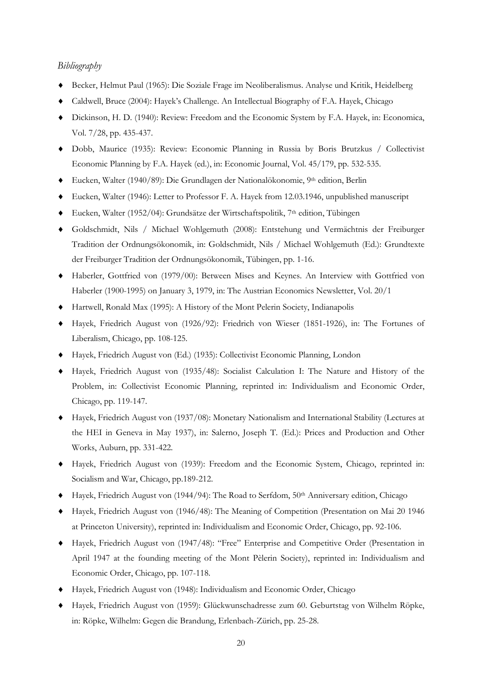# <span id="page-21-0"></span>*Bibliography*

- Becker, Helmut Paul (1965): Die Soziale Frage im Neoliberalismus. Analyse und Kritik, Heidelberg
- Caldwell, Bruce (2004): Hayek's Challenge. An Intellectual Biography of F.A. Hayek, Chicago
- Dickinson, H. D. (1940): Review: Freedom and the Economic System by F.A. Hayek, in: Economica, Vol. 7/28, pp. 435-437.
- ♦ Dobb, Maurice (1935): Review: Economic Planning in Russia by Boris Brutzkus / Collectivist Economic Planning by F.A. Hayek (ed.), in: Economic Journal, Vol. 45/179, pp. 532-535.
- Eucken, Walter (1940/89): Die Grundlagen der Nationalökonomie, 9th edition, Berlin
- Eucken, Walter (1946): Letter to Professor F. A. Hayek from 12.03.1946, unpublished manuscript
- ♦ Eucken, Walter (1952/04): Grundsätze der Wirtschaftspolitik, 7th edition, Tübingen
- ♦ Goldschmidt, Nils / Michael Wohlgemuth (2008): Entstehung und Vermächtnis der Freiburger Tradition der Ordnungsökonomik, in: Goldschmidt, Nils / Michael Wohlgemuth (Ed.): Grundtexte der Freiburger Tradition der Ordnungsökonomik, Tübingen, pp. 1-16.
- ♦ Haberler, Gottfried von (1979/00): Between Mises and Keynes. An Interview with Gottfried von Haberler (1900-1995) on January 3, 1979, in: The Austrian Economics Newsletter, Vol. 20/1
- ♦ Hartwell, Ronald Max (1995): A History of the Mont Pelerin Society, Indianapolis
- ♦ Hayek, Friedrich August von (1926/92): Friedrich von Wieser (1851-1926), in: The Fortunes of Liberalism, Chicago, pp. 108-125.
- Hayek, Friedrich August von (Ed.) (1935): Collectivist Economic Planning, London
- Hayek, Friedrich August von (1935/48): Socialist Calculation I: The Nature and History of the Problem, in: Collectivist Economic Planning, reprinted in: Individualism and Economic Order, Chicago, pp. 119-147.
- ♦ Hayek, Friedrich August von (1937/08): Monetary Nationalism and International Stability (Lectures at the HEI in Geneva in May 1937), in: Salerno, Joseph T. (Ed.): Prices and Production and Other Works, Auburn, pp. 331-422.
- ♦ Hayek, Friedrich August von (1939): Freedom and the Economic System, Chicago, reprinted in: Socialism and War, Chicago, pp.189-212.
- ♦ Hayek, Friedrich August von (1944/94): The Road to Serfdom, 50th Anniversary edition, Chicago
- ♦ Hayek, Friedrich August von (1946/48): The Meaning of Competition (Presentation on Mai 20 1946 at Princeton University), reprinted in: Individualism and Economic Order, Chicago, pp. 92-106.
- ♦ Hayek, Friedrich August von (1947/48): "Free" Enterprise and Competitive Order (Presentation in April 1947 at the founding meeting of the Mont Pèlerin Society), reprinted in: Individualism and Economic Order, Chicago, pp. 107-118.
- ♦ Hayek, Friedrich August von (1948): Individualism and Economic Order, Chicago
- ♦ Hayek, Friedrich August von (1959): Glückwunschadresse zum 60. Geburtstag von Wilhelm Röpke, in: Röpke, Wilhelm: Gegen die Brandung, Erlenbach-Zürich, pp. 25-28.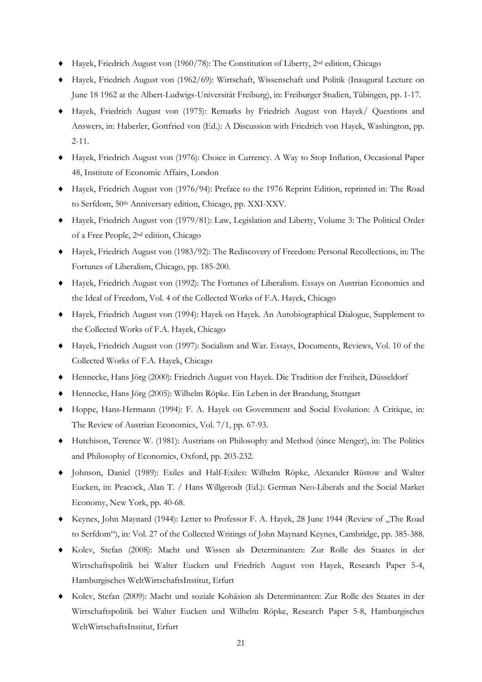- ♦ Hayek, Friedrich August von (1960/78): The Constitution of Liberty, 2nd edition, Chicago
- ♦ Hayek, Friedrich August von (1962/69): Wirtschaft, Wissenschaft und Politik (Inaugural Lecture on June 18 1962 at the Albert-Ludwigs-Universität Freiburg), in: Freiburger Studien, Tübingen, pp. 1-17.
- ♦ Hayek, Friedrich August von (1975): Remarks by Friedrich August von Hayek/ Questions and Answers, in: Haberler, Gottfried von (Ed.): A Discussion with Friedrich von Hayek, Washington, pp. 2-11.
- ♦ Hayek, Friedrich August von (1976): Choice in Currency. A Way to Stop Inflation, Occasional Paper 48, Institute of Economic Affairs, London
- ♦ Hayek, Friedrich August von (1976/94): Preface to the 1976 Reprint Edition, reprinted in: The Road to Serfdom, 50<sup>th</sup> Anniversary edition, Chicago, pp. XXI-XXV.
- ♦ Hayek, Friedrich August von (1979/81): Law, Legislation and Liberty, Volume 3: The Political Order of a Free People, 2nd edition, Chicago
- ♦ Hayek, Friedrich August von (1983/92): The Rediscovery of Freedom: Personal Recollections, in: The Fortunes of Liberalism, Chicago, pp. 185-200.
- ♦ Hayek, Friedrich August von (1992): The Fortunes of Liberalism. Essays on Austrian Economics and the Ideal of Freedom, Vol. 4 of the Collected Works of F.A. Hayek, Chicago
- ♦ Hayek, Friedrich August von (1994): Hayek on Hayek. An Autobiographical Dialogue, Supplement to the Collected Works of F.A. Hayek, Chicago
- ♦ Hayek, Friedrich August von (1997): Socialism and War. Essays, Documents, Reviews, Vol. 10 of the Collected Works of F.A. Hayek, Chicago
- ♦ Hennecke, Hans Jörg (2000): Friedrich August von Hayek. Die Tradition der Freiheit, Düsseldorf
- ♦ Hennecke, Hans Jörg (2005): Wilhelm Röpke. Ein Leben in der Brandung, Stuttgart
- ♦ Hoppe, Hans-Hermann (1994): F. A. Hayek on Government and Social Evolution: A Critique, in: The Review of Austrian Economics, Vol. 7/1, pp. 67-93.
- ♦ Hutchison, Terence W. (1981): Austrians on Philosophy and Method (since Menger), in: The Politics and Philosophy of Economics, Oxford, pp. 203-232.
- ♦ Johnson, Daniel (1989): Exiles and Half-Exiles: Wilhelm Röpke, Alexander Rüstow and Walter Eucken, in: Peacock, Alan T. / Hans Willgerodt (Ed.): German Neo-Liberals and the Social Market Economy, New York, pp. 40-68.
- ♦ Keynes, John Maynard (1944): Letter to Professor F. A. Hayek, 28 June 1944 (Review of "The Road to Serfdom"), in: Vol. 27 of the Collected Writings of John Maynard Keynes, Cambridge, pp. 385-388.
- ♦ Kolev, Stefan (2008): Macht und Wissen als Determinanten: Zur Rolle des Staates in der Wirtschaftspolitik bei Walter Eucken und Friedrich August von Hayek, Research Paper 5-4, Hamburgisches WeltWirtschaftsInstitut, Erfurt
- ♦ Kolev, Stefan (2009): Macht und soziale Kohäsion als Determinanten: Zur Rolle des Staates in der Wirtschaftspolitik bei Walter Eucken und Wilhelm Röpke, Research Paper 5-8, Hamburgisches WeltWirtschaftsInstitut, Erfurt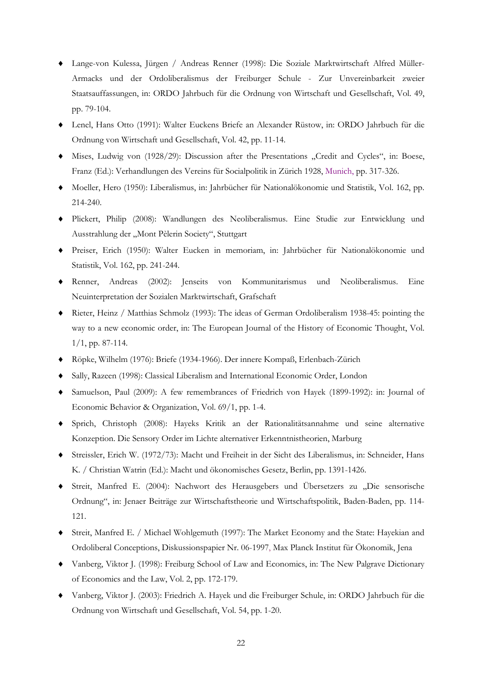- Lange-von Kulessa, Jürgen / Andreas Renner (1998): Die Soziale Marktwirtschaft Alfred Müller-Armacks und der Ordoliberalismus der Freiburger Schule - Zur Unvereinbarkeit zweier Staatsauffassungen, in: ORDO Jahrbuch für die Ordnung von Wirtschaft und Gesellschaft, Vol. 49, pp. 79-104.
- ♦ Lenel, Hans Otto (1991): Walter Euckens Briefe an Alexander Rüstow, in: ORDO Jahrbuch für die Ordnung von Wirtschaft und Gesellschaft, Vol. 42, pp. 11-14.
- ♦ Mises, Ludwig von (1928/29): Discussion after the Presentations "Credit and Cycles", in: Boese, Franz (Ed.): Verhandlungen des Vereins für Socialpolitik in Zürich 1928, Munich, pp. 317-326.
- ♦ Moeller, Hero (1950): Liberalismus, in: Jahrbücher für Nationalökonomie und Statistik, Vol. 162, pp. 214-240.
- ♦ Plickert, Philip (2008): Wandlungen des Neoliberalismus. Eine Studie zur Entwicklung und Ausstrahlung der "Mont Pèlerin Society", Stuttgart
- ♦ Preiser, Erich (1950): Walter Eucken in memoriam, in: Jahrbücher für Nationalökonomie und Statistik, Vol. 162, pp. 241-244.
- ♦ Renner, Andreas (2002): Jenseits von Kommunitarismus und Neoliberalismus. Eine Neuinterpretation der Sozialen Marktwirtschaft, Grafschaft
- ♦ Rieter, Heinz / Matthias Schmolz (1993): The ideas of German Ordoliberalism 1938-45: pointing the way to a new economic order, in: The European Journal of the History of Economic Thought, Vol. 1/1, pp. 87-114.
- ♦ Röpke, Wilhelm (1976): Briefe (1934-1966). Der innere Kompaß, Erlenbach-Zürich
- ♦ Sally, Razeen (1998): Classical Liberalism and International Economic Order, London
- ♦ Samuelson, Paul (2009): A few remembrances of Friedrich von Hayek (1899-1992): in: Journal of Economic Behavior & Organization, Vol. 69/1, pp. 1-4.
- ♦ Sprich, Christoph (2008): Hayeks Kritik an der Rationalitätsannahme und seine alternative Konzeption. Die Sensory Order im Lichte alternativer Erkenntnistheorien, Marburg
- ♦ Streissler, Erich W. (1972/73): Macht und Freiheit in der Sicht des Liberalismus, in: Schneider, Hans K. / Christian Watrin (Ed.): Macht und ökonomisches Gesetz, Berlin, pp. 1391-1426.
- ♦ Streit, Manfred E. (2004): Nachwort des Herausgebers und Übersetzers zu "Die sensorische Ordnung", in: Jenaer Beiträge zur Wirtschaftstheorie und Wirtschaftspolitik, Baden-Baden, pp. 114- 121.
- ♦ Streit, Manfred E. / Michael Wohlgemuth (1997): The Market Economy and the State: Hayekian and Ordoliberal Conceptions, Diskussionspapier Nr. 06-1997, Max Planck Institut für Ökonomik, Jena
- ♦ Vanberg, Viktor J. (1998): Freiburg School of Law and Economics, in: The New Palgrave Dictionary of Economics and the Law, Vol. 2, pp. 172-179.
- ♦ Vanberg, Viktor J. (2003): Friedrich A. Hayek und die Freiburger Schule, in: ORDO Jahrbuch für die Ordnung von Wirtschaft und Gesellschaft, Vol. 54, pp. 1-20.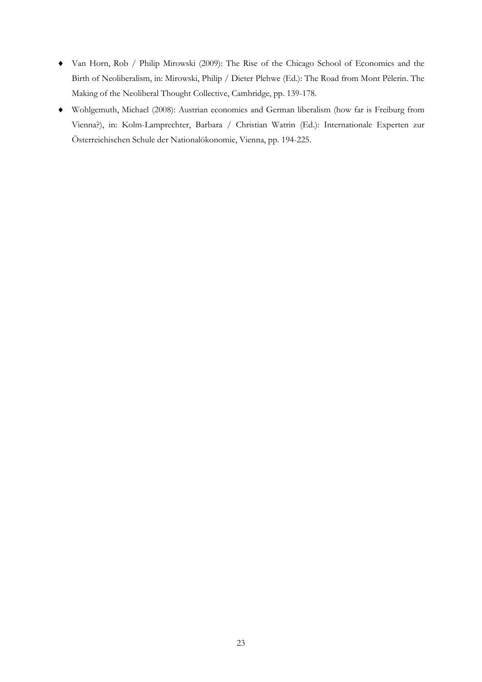- ♦ Van Horn, Rob / Philip Mirowski (2009): The Rise of the Chicago School of Economics and the Birth of Neoliberalism, in: Mirowski, Philip / Dieter Plehwe (Ed.): The Road from Mont Pèlerin. The Making of the Neoliberal Thought Collective, Cambridge, pp. 139-178.
- ♦ Wohlgemuth, Michael (2008): Austrian economics and German liberalism (how far is Freiburg from Vienna?), in: Kolm-Lamprechter, Barbara / Christian Watrin (Ed.): Internationale Experten zur Österreichischen Schule der Nationalökonomie, Vienna, pp. 194-225.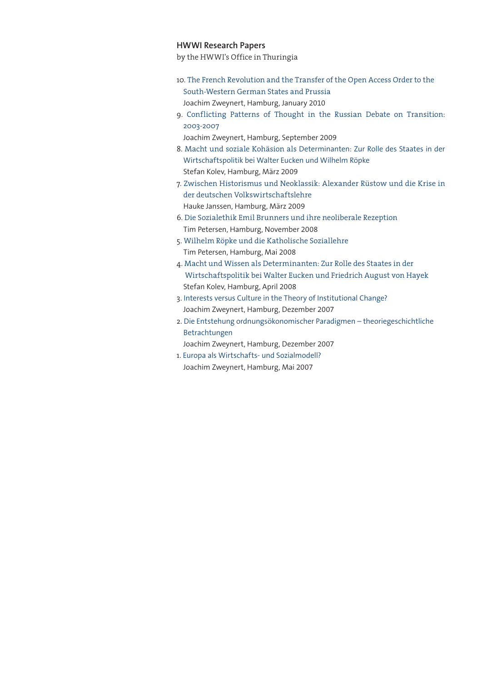## **HWWI Research Papers**

by the HWWI's Office in Thuringia

- 10. The French Revolution and the Transfer of the Open Access Order to the South-Western German States and Prussia
	- Joachim Zweynert, Hamburg, January 2010
- 9. Conflicting Patterns of Thought in the Russian Debate on Transition: 2003-2007

Joachim Zweynert, Hamburg, September 2009

- 8. Macht und soziale Kohäsion als Determinanten: Zur Rolle des Staates in der Wirtschaftspolitik bei Walter Eucken und Wilhelm Röpke Stefan Kolev, Hamburg, März 2009
- 7. Zwischen Historismus und Neoklassik: Alexander Rüstow und die Krise in der deutschen Volkswirtschaftslehre Hauke Janssen, Hamburg, März 2009
- 6. Die Sozialethik Emil Brunners und ihre neoliberale Rezeption Tim Petersen, Hamburg, November 2008
- 5. Wilhelm Röpke und die Katholische Soziallehre Tim Petersen, Hamburg, Mai 2008
- 4. Macht und Wissen als Determinanten: Zur Rolle des Staates in der Wirtschaftspolitik bei Walter Eucken und Friedrich August von Hayek Stefan Kolev, Hamburg, April 2008
- 3. Interests versus Culture in the Theory of Institutional Change? Joachim Zweynert, Hamburg, Dezember 2007
- 2. Die Entstehung ordnungsökonomischer Paradigmen theoriegeschichtliche Betrachtungen

Joachim Zweynert, Hamburg, Dezember 2007

1. Europa als Wirtschafts- und Sozialmodell? Joachim Zweynert, Hamburg, Mai 2007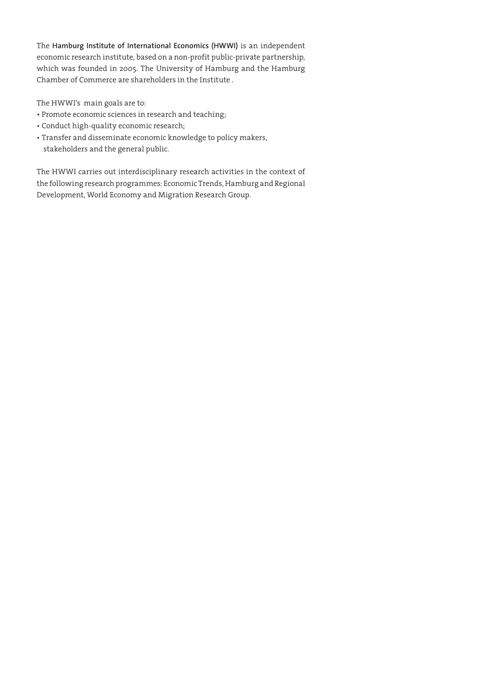The **Hamburg Institute of International Economics (HWWI)** is an independent economic research institute, based on a non-profit public-private partnership, which was founded in 2005. The University of Hamburg and the Hamburg Chamber of Commerce are shareholders in the Institute .

The HWWI's main goals are to:

- Promote economic sciences in research and teaching;
- Conduct high-quality economic research;
- Transfer and disseminate economic knowledge to policy makers, stakeholders and the general public.

The HWWI carries out interdisciplinary research activities in the context of the following research programmes: Economic Trends, Hamburg and Regional Development, World Economy and Migration Research Group.